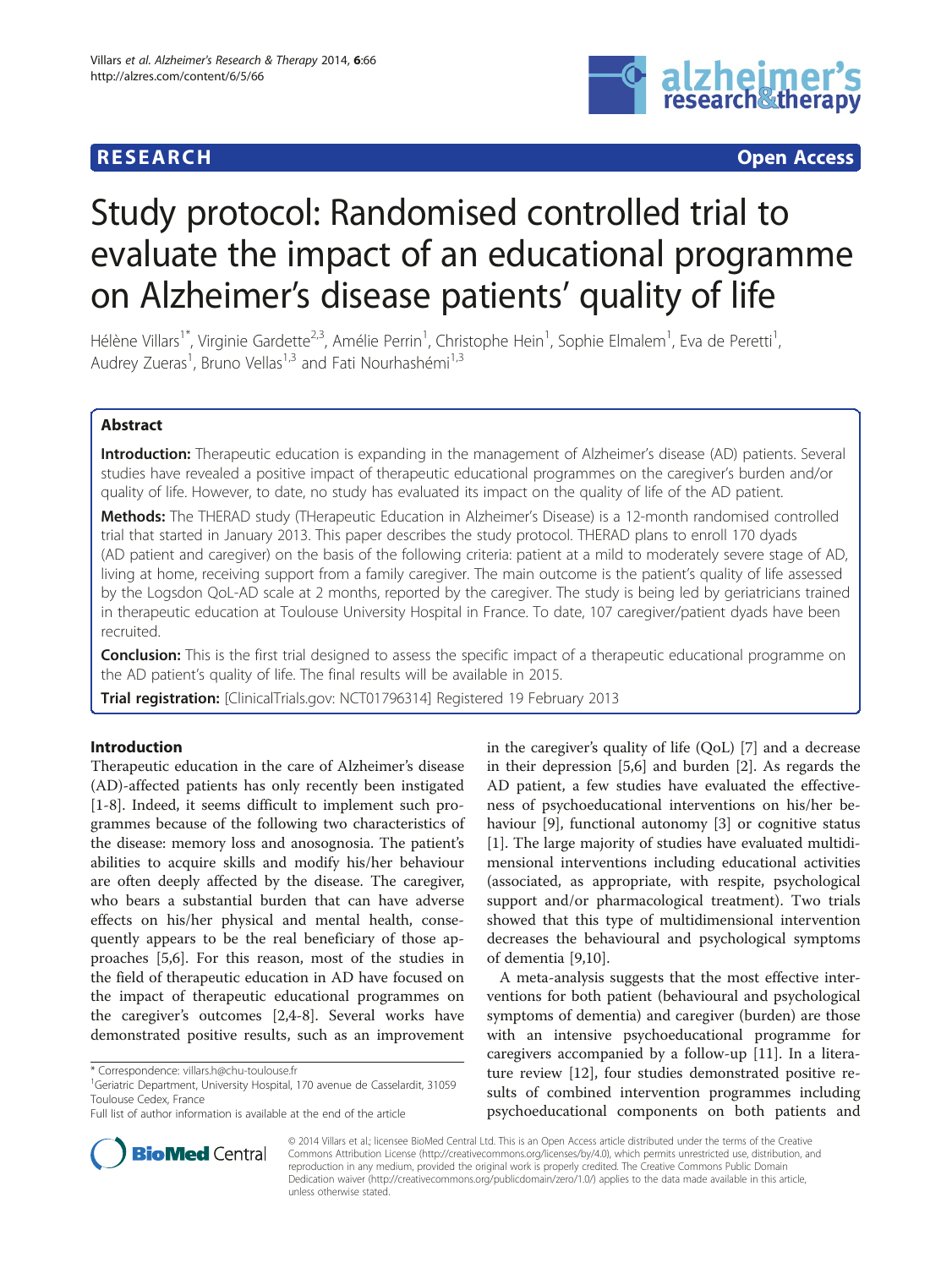# **RESEARCH CHEAR CHEAR CHEAR CHEAR CHEAR CHEAR CHEAR CHEAR CHEAR CHEAR CHEAR CHEAR CHEAR CHEAR CHEAR CHEAR CHEAR**



# Study protocol: Randomised controlled trial to evaluate the impact of an educational programme on Alzheimer's disease patients' quality of life

Hélène Villars<sup>1\*</sup>, Virginie Gardette<sup>2,3</sup>, Amélie Perrin<sup>1</sup>, Christophe Hein<sup>1</sup>, Sophie Elmalem<sup>1</sup>, Eva de Peretti<sup>1</sup> , Audrey Zueras<sup>1</sup>, Bruno Vellas<sup>1,3</sup> and Fati Nourhashémi<sup>1,3</sup>

# Abstract

Introduction: Therapeutic education is expanding in the management of Alzheimer's disease (AD) patients. Several studies have revealed a positive impact of therapeutic educational programmes on the caregiver's burden and/or quality of life. However, to date, no study has evaluated its impact on the quality of life of the AD patient.

Methods: The THERAD study (THerapeutic Education in Alzheimer's Disease) is a 12-month randomised controlled trial that started in January 2013. This paper describes the study protocol. THERAD plans to enroll 170 dyads (AD patient and caregiver) on the basis of the following criteria: patient at a mild to moderately severe stage of AD, living at home, receiving support from a family caregiver. The main outcome is the patient's quality of life assessed by the Logsdon QoL-AD scale at 2 months, reported by the caregiver. The study is being led by geriatricians trained in therapeutic education at Toulouse University Hospital in France. To date, 107 caregiver/patient dyads have been recruited.

**Conclusion:** This is the first trial designed to assess the specific impact of a therapeutic educational programme on the AD patient's quality of life. The final results will be available in 2015.

Trial registration: [ClinicalTrials.gov: [NCT01796314\]](http://clinicaltrials.gov/ct2/show/NCT01796314?term=THERAD&rank=1) Registered 19 February 2013

# Introduction

Therapeutic education in the care of Alzheimer's disease (AD)-affected patients has only recently been instigated [[1-8](#page-6-0)]. Indeed, it seems difficult to implement such programmes because of the following two characteristics of the disease: memory loss and anosognosia. The patient's abilities to acquire skills and modify his/her behaviour are often deeply affected by the disease. The caregiver, who bears a substantial burden that can have adverse effects on his/her physical and mental health, consequently appears to be the real beneficiary of those approaches [[5,6\]](#page-6-0). For this reason, most of the studies in the field of therapeutic education in AD have focused on the impact of therapeutic educational programmes on the caregiver's outcomes [[2](#page-6-0),[4-8](#page-6-0)]. Several works have demonstrated positive results, such as an improvement

<sup>1</sup>Geriatric Department, University Hospital, 170 avenue de Casselardit, 31059 Toulouse Cedex, France



A meta-analysis suggests that the most effective interventions for both patient (behavioural and psychological symptoms of dementia) and caregiver (burden) are those with an intensive psychoeducational programme for caregivers accompanied by a follow-up [\[11](#page-7-0)]. In a literature review [\[12\]](#page-7-0), four studies demonstrated positive results of combined intervention programmes including psychoeducational components on both patients and



© 2014 Villars et al.; licensee BioMed Central Ltd. This is an Open Access article distributed under the terms of the Creative Commons Attribution License [\(http://creativecommons.org/licenses/by/4.0\)](http://creativecommons.org/licenses/by/40), which permits unrestricted use, distribution, and reproduction in any medium, provided the original work is properly credited. The Creative Commons Public Domain Dedication waiver [\(http://creativecommons.org/publicdomain/zero/1.0/](http://creativecommons.org/publicdomain/zero/1.0/)) applies to the data made available in this article, unless otherwise stated.

<sup>\*</sup> Correspondence: [villars.h@chu-toulouse.fr](mailto:villars.h@chu-toulouse.fr) <sup>1</sup>

Full list of author information is available at the end of the article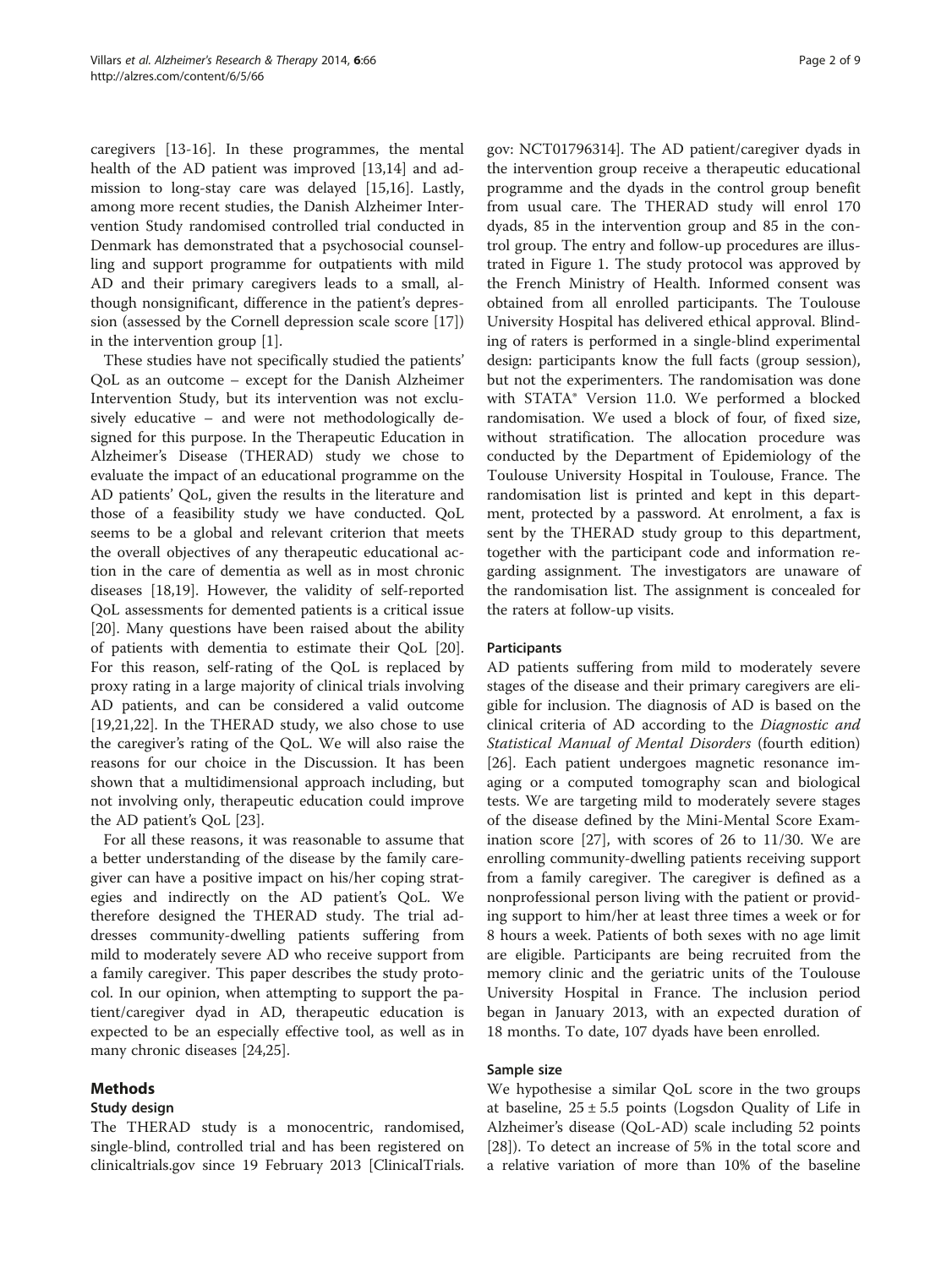caregivers [[13](#page-7-0)-[16\]](#page-7-0). In these programmes, the mental health of the AD patient was improved [[13](#page-7-0),[14](#page-7-0)] and admission to long-stay care was delayed [[15,16\]](#page-7-0). Lastly, among more recent studies, the Danish Alzheimer Intervention Study randomised controlled trial conducted in Denmark has demonstrated that a psychosocial counselling and support programme for outpatients with mild AD and their primary caregivers leads to a small, although nonsignificant, difference in the patient's depression (assessed by the Cornell depression scale score [\[17](#page-7-0)]) in the intervention group [[1\]](#page-6-0).

These studies have not specifically studied the patients' QoL as an outcome – except for the Danish Alzheimer Intervention Study, but its intervention was not exclusively educative – and were not methodologically designed for this purpose. In the Therapeutic Education in Alzheimer's Disease (THERAD) study we chose to evaluate the impact of an educational programme on the AD patients' QoL, given the results in the literature and those of a feasibility study we have conducted. QoL seems to be a global and relevant criterion that meets the overall objectives of any therapeutic educational action in the care of dementia as well as in most chronic diseases [\[18,19](#page-7-0)]. However, the validity of self-reported QoL assessments for demented patients is a critical issue [[20\]](#page-7-0). Many questions have been raised about the ability of patients with dementia to estimate their QoL [\[20](#page-7-0)]. For this reason, self-rating of the QoL is replaced by proxy rating in a large majority of clinical trials involving AD patients, and can be considered a valid outcome [[19,21,22\]](#page-7-0). In the THERAD study, we also chose to use the caregiver's rating of the QoL. We will also raise the reasons for our choice in the Discussion. It has been shown that a multidimensional approach including, but not involving only, therapeutic education could improve the AD patient's QoL [\[23](#page-7-0)].

For all these reasons, it was reasonable to assume that a better understanding of the disease by the family caregiver can have a positive impact on his/her coping strategies and indirectly on the AD patient's QoL. We therefore designed the THERAD study. The trial addresses community-dwelling patients suffering from mild to moderately severe AD who receive support from a family caregiver. This paper describes the study protocol. In our opinion, when attempting to support the patient/caregiver dyad in AD, therapeutic education is expected to be an especially effective tool, as well as in many chronic diseases [\[24,25](#page-7-0)].

# Methods

# Study design

The THERAD study is a monocentric, randomised, single-blind, controlled trial and has been registered on clinicaltrials.gov since 19 February 2013 [ClinicalTrials.

gov: NCT01796314]. The AD patient/caregiver dyads in the intervention group receive a therapeutic educational programme and the dyads in the control group benefit from usual care. The THERAD study will enrol 170 dyads, 85 in the intervention group and 85 in the control group. The entry and follow-up procedures are illustrated in Figure [1.](#page-2-0) The study protocol was approved by the French Ministry of Health. Informed consent was obtained from all enrolled participants. The Toulouse University Hospital has delivered ethical approval. Blinding of raters is performed in a single-blind experimental design: participants know the full facts (group session), but not the experimenters. The randomisation was done with STATA® Version 11.0. We performed a blocked randomisation. We used a block of four, of fixed size, without stratification. The allocation procedure was conducted by the Department of Epidemiology of the Toulouse University Hospital in Toulouse, France. The randomisation list is printed and kept in this department, protected by a password. At enrolment, a fax is sent by the THERAD study group to this department, together with the participant code and information regarding assignment. The investigators are unaware of the randomisation list. The assignment is concealed for the raters at follow-up visits.

# Participants

AD patients suffering from mild to moderately severe stages of the disease and their primary caregivers are eligible for inclusion. The diagnosis of AD is based on the clinical criteria of AD according to the Diagnostic and Statistical Manual of Mental Disorders (fourth edition) [[26\]](#page-7-0). Each patient undergoes magnetic resonance imaging or a computed tomography scan and biological tests. We are targeting mild to moderately severe stages of the disease defined by the Mini-Mental Score Examination score [[27\]](#page-7-0), with scores of 26 to 11/30. We are enrolling community-dwelling patients receiving support from a family caregiver. The caregiver is defined as a nonprofessional person living with the patient or providing support to him/her at least three times a week or for 8 hours a week. Patients of both sexes with no age limit are eligible. Participants are being recruited from the memory clinic and the geriatric units of the Toulouse University Hospital in France. The inclusion period began in January 2013, with an expected duration of 18 months. To date, 107 dyads have been enrolled.

# Sample size

We hypothesise a similar QoL score in the two groups at baseline,  $25 \pm 5.5$  points (Logsdon Quality of Life in Alzheimer's disease (QoL-AD) scale including 52 points [[28\]](#page-7-0)). To detect an increase of 5% in the total score and a relative variation of more than 10% of the baseline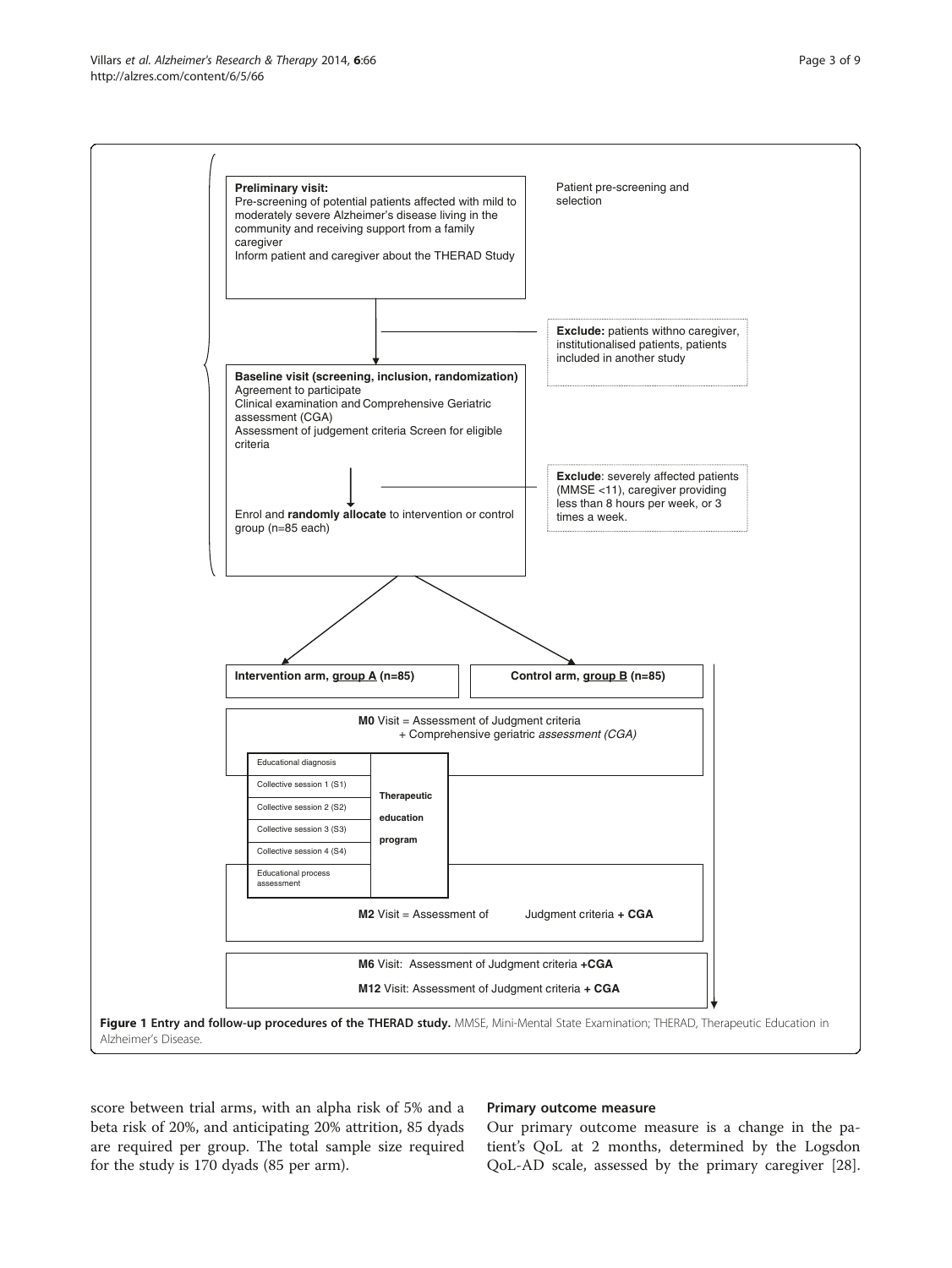<span id="page-2-0"></span>

score between trial arms, with an alpha risk of 5% and a beta risk of 20%, and anticipating 20% attrition, 85 dyads are required per group. The total sample size required for the study is 170 dyads (85 per arm).

#### Primary outcome measure

Our primary outcome measure is a change in the patient's QoL at 2 months, determined by the Logsdon QoL-AD scale, assessed by the primary caregiver [\[28](#page-7-0)].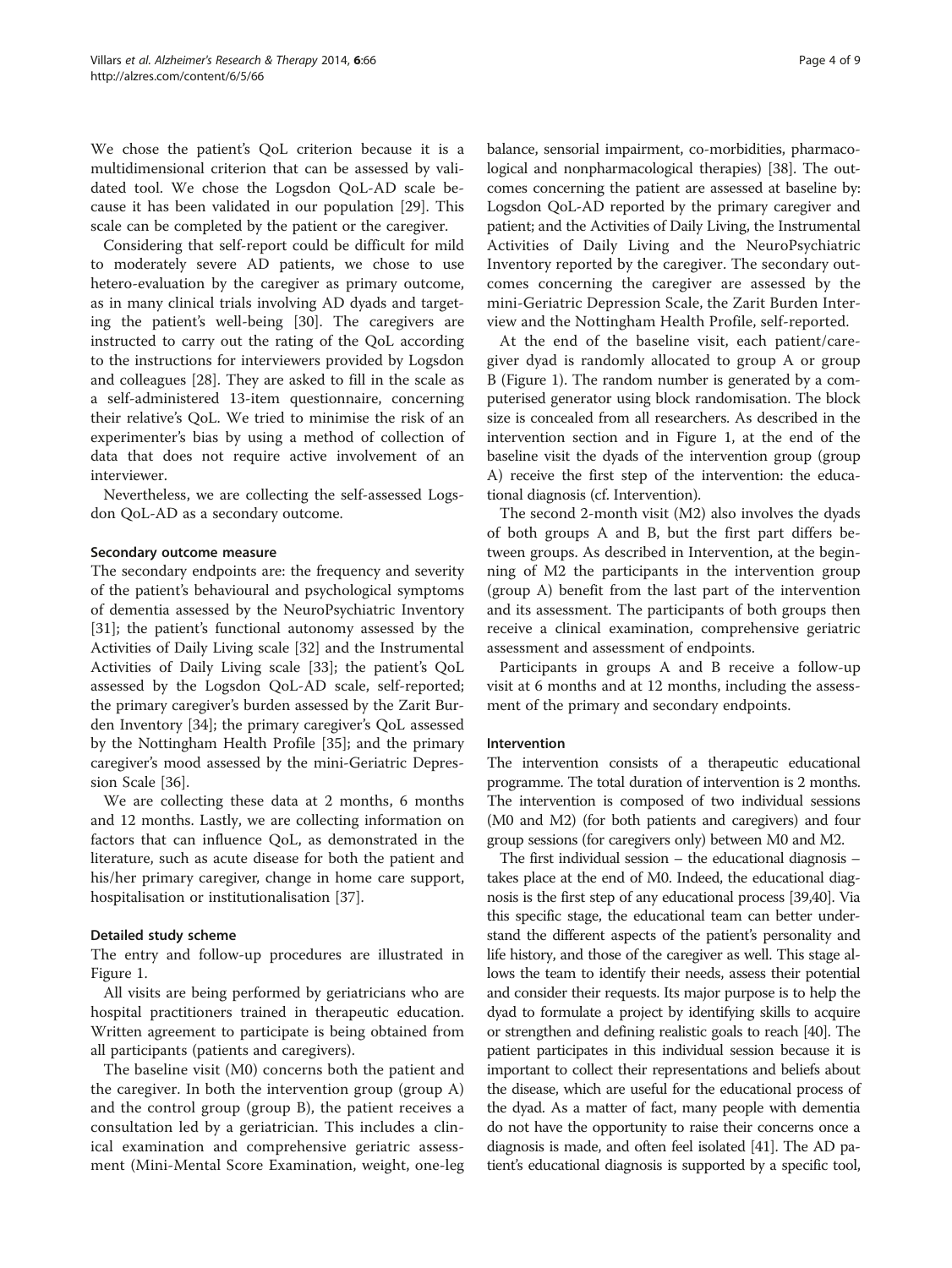We chose the patient's QoL criterion because it is a multidimensional criterion that can be assessed by validated tool. We chose the Logsdon QoL-AD scale because it has been validated in our population [[29](#page-7-0)]. This scale can be completed by the patient or the caregiver.

Considering that self-report could be difficult for mild to moderately severe AD patients, we chose to use hetero-evaluation by the caregiver as primary outcome, as in many clinical trials involving AD dyads and targeting the patient's well-being [[30\]](#page-7-0). The caregivers are instructed to carry out the rating of the QoL according to the instructions for interviewers provided by Logsdon and colleagues [[28\]](#page-7-0). They are asked to fill in the scale as a self-administered 13-item questionnaire, concerning their relative's QoL. We tried to minimise the risk of an experimenter's bias by using a method of collection of data that does not require active involvement of an interviewer.

Nevertheless, we are collecting the self-assessed Logsdon QoL-AD as a secondary outcome.

#### Secondary outcome measure

The secondary endpoints are: the frequency and severity of the patient's behavioural and psychological symptoms of dementia assessed by the NeuroPsychiatric Inventory [[31\]](#page-7-0); the patient's functional autonomy assessed by the Activities of Daily Living scale [\[32](#page-7-0)] and the Instrumental Activities of Daily Living scale [\[33\]](#page-7-0); the patient's QoL assessed by the Logsdon QoL-AD scale, self-reported; the primary caregiver's burden assessed by the Zarit Burden Inventory [[34](#page-7-0)]; the primary caregiver's QoL assessed by the Nottingham Health Profile [\[35](#page-7-0)]; and the primary caregiver's mood assessed by the mini-Geriatric Depression Scale [\[36](#page-7-0)].

We are collecting these data at 2 months, 6 months and 12 months. Lastly, we are collecting information on factors that can influence QoL, as demonstrated in the literature, such as acute disease for both the patient and his/her primary caregiver, change in home care support, hospitalisation or institutionalisation [[37\]](#page-7-0).

#### Detailed study scheme

The entry and follow-up procedures are illustrated in Figure [1](#page-2-0).

All visits are being performed by geriatricians who are hospital practitioners trained in therapeutic education. Written agreement to participate is being obtained from all participants (patients and caregivers).

The baseline visit (M0) concerns both the patient and the caregiver. In both the intervention group (group A) and the control group (group B), the patient receives a consultation led by a geriatrician. This includes a clinical examination and comprehensive geriatric assessment (Mini-Mental Score Examination, weight, one-leg

balance, sensorial impairment, co-morbidities, pharmacological and nonpharmacological therapies) [[38](#page-7-0)]. The outcomes concerning the patient are assessed at baseline by: Logsdon QoL-AD reported by the primary caregiver and patient; and the Activities of Daily Living, the Instrumental Activities of Daily Living and the NeuroPsychiatric Inventory reported by the caregiver. The secondary outcomes concerning the caregiver are assessed by the mini-Geriatric Depression Scale, the Zarit Burden Interview and the Nottingham Health Profile, self-reported.

At the end of the baseline visit, each patient/caregiver dyad is randomly allocated to group A or group B (Figure [1\)](#page-2-0). The random number is generated by a computerised generator using block randomisation. The block size is concealed from all researchers. As described in the intervention section and in Figure [1,](#page-2-0) at the end of the baseline visit the dyads of the intervention group (group A) receive the first step of the intervention: the educational diagnosis (cf. Intervention).

The second 2-month visit (M2) also involves the dyads of both groups A and B, but the first part differs between groups. As described in Intervention, at the beginning of M2 the participants in the intervention group (group A) benefit from the last part of the intervention and its assessment. The participants of both groups then receive a clinical examination, comprehensive geriatric assessment and assessment of endpoints.

Participants in groups A and B receive a follow-up visit at 6 months and at 12 months, including the assessment of the primary and secondary endpoints.

#### Intervention

The intervention consists of a therapeutic educational programme. The total duration of intervention is 2 months. The intervention is composed of two individual sessions (M0 and M2) (for both patients and caregivers) and four group sessions (for caregivers only) between M0 and M2.

The first individual session – the educational diagnosis – takes place at the end of M0. Indeed, the educational diagnosis is the first step of any educational process [[39,40\]](#page-7-0). Via this specific stage, the educational team can better understand the different aspects of the patient's personality and life history, and those of the caregiver as well. This stage allows the team to identify their needs, assess their potential and consider their requests. Its major purpose is to help the dyad to formulate a project by identifying skills to acquire or strengthen and defining realistic goals to reach [[40\]](#page-7-0). The patient participates in this individual session because it is important to collect their representations and beliefs about the disease, which are useful for the educational process of the dyad. As a matter of fact, many people with dementia do not have the opportunity to raise their concerns once a diagnosis is made, and often feel isolated [[41](#page-7-0)]. The AD patient's educational diagnosis is supported by a specific tool,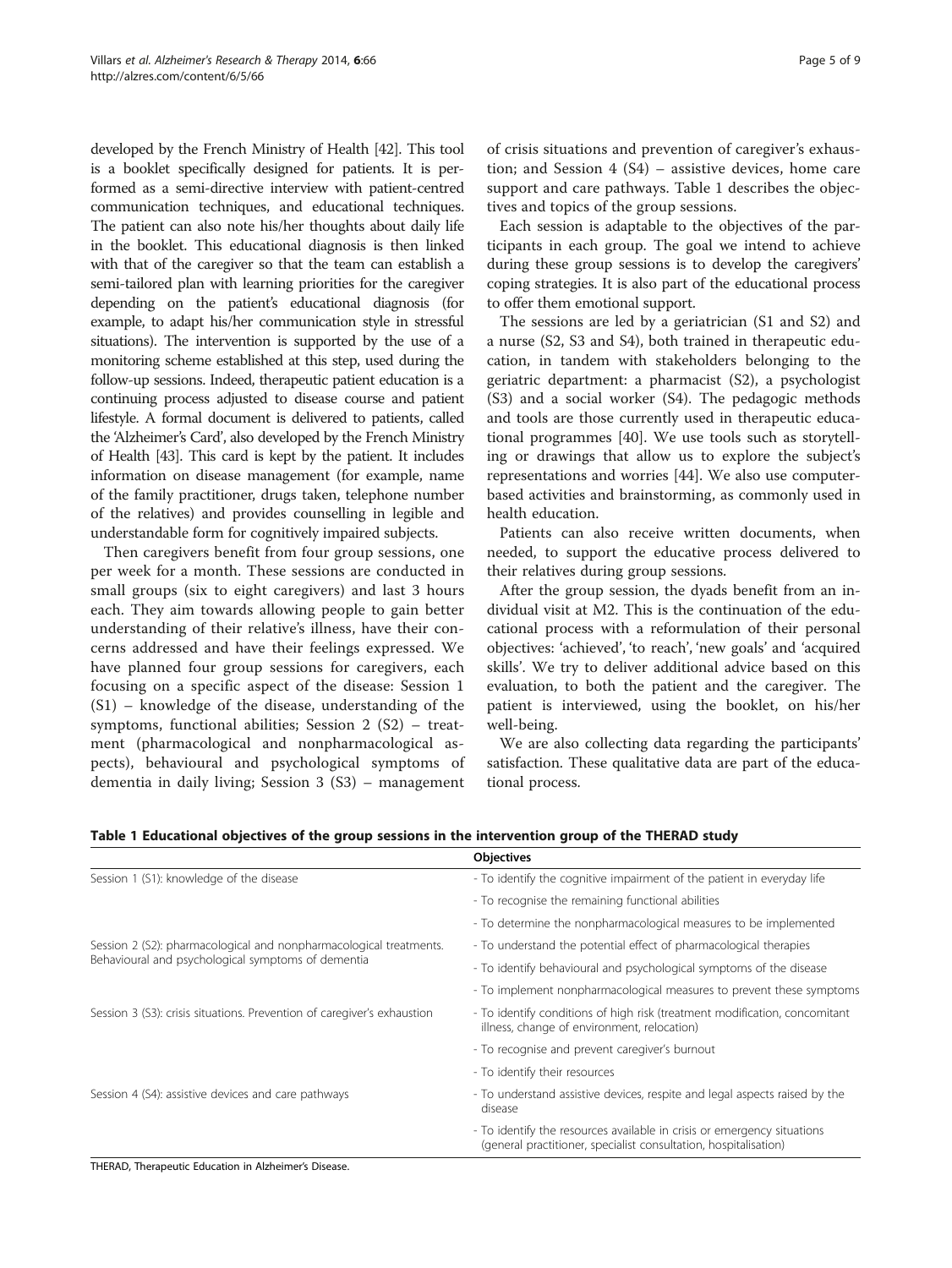developed by the French Ministry of Health [\[42\]](#page-7-0). This tool is a booklet specifically designed for patients. It is performed as a semi-directive interview with patient-centred communication techniques, and educational techniques. The patient can also note his/her thoughts about daily life in the booklet. This educational diagnosis is then linked with that of the caregiver so that the team can establish a semi-tailored plan with learning priorities for the caregiver depending on the patient's educational diagnosis (for example, to adapt his/her communication style in stressful situations). The intervention is supported by the use of a monitoring scheme established at this step, used during the follow-up sessions. Indeed, therapeutic patient education is a continuing process adjusted to disease course and patient lifestyle. A formal document is delivered to patients, called the 'Alzheimer's Card', also developed by the French Ministry of Health [\[43](#page-7-0)]. This card is kept by the patient. It includes information on disease management (for example, name of the family practitioner, drugs taken, telephone number of the relatives) and provides counselling in legible and understandable form for cognitively impaired subjects.

Then caregivers benefit from four group sessions, one per week for a month. These sessions are conducted in small groups (six to eight caregivers) and last 3 hours each. They aim towards allowing people to gain better understanding of their relative's illness, have their concerns addressed and have their feelings expressed. We have planned four group sessions for caregivers, each focusing on a specific aspect of the disease: Session 1 (S1) – knowledge of the disease, understanding of the symptoms, functional abilities; Session 2 (S2) – treatment (pharmacological and nonpharmacological aspects), behavioural and psychological symptoms of dementia in daily living; Session 3 (S3) – management of crisis situations and prevention of caregiver's exhaustion; and Session 4 (S4) – assistive devices, home care support and care pathways. Table 1 describes the objectives and topics of the group sessions.

Each session is adaptable to the objectives of the participants in each group. The goal we intend to achieve during these group sessions is to develop the caregivers' coping strategies. It is also part of the educational process to offer them emotional support.

The sessions are led by a geriatrician (S1 and S2) and a nurse (S2, S3 and S4), both trained in therapeutic education, in tandem with stakeholders belonging to the geriatric department: a pharmacist (S2), a psychologist (S3) and a social worker (S4). The pedagogic methods and tools are those currently used in therapeutic educational programmes [[40\]](#page-7-0). We use tools such as storytelling or drawings that allow us to explore the subject's representations and worries [[44](#page-7-0)]. We also use computerbased activities and brainstorming, as commonly used in health education.

Patients can also receive written documents, when needed, to support the educative process delivered to their relatives during group sessions.

After the group session, the dyads benefit from an individual visit at M2. This is the continuation of the educational process with a reformulation of their personal objectives: 'achieved', 'to reach', 'new goals' and 'acquired skills'. We try to deliver additional advice based on this evaluation, to both the patient and the caregiver. The patient is interviewed, using the booklet, on his/her well-being.

We are also collecting data regarding the participants' satisfaction. These qualitative data are part of the educational process.

|                                                                                                                          | <b>Objectives</b>                                                                                                                           |
|--------------------------------------------------------------------------------------------------------------------------|---------------------------------------------------------------------------------------------------------------------------------------------|
| Session 1 (S1): knowledge of the disease                                                                                 | - To identify the cognitive impairment of the patient in everyday life                                                                      |
|                                                                                                                          | - To recognise the remaining functional abilities                                                                                           |
|                                                                                                                          | - To determine the nonpharmacological measures to be implemented                                                                            |
| Session 2 (S2): pharmacological and nonpharmacological treatments.<br>Behavioural and psychological symptoms of dementia | - To understand the potential effect of pharmacological therapies                                                                           |
|                                                                                                                          | - To identify behavioural and psychological symptoms of the disease                                                                         |
|                                                                                                                          | - To implement nonpharmacological measures to prevent these symptoms                                                                        |
| Session 3 (S3): crisis situations. Prevention of caregiver's exhaustion                                                  | - To identify conditions of high risk (treatment modification, concomitant<br>illness, change of environment, relocation)                   |
|                                                                                                                          | - To recognise and prevent caregiver's burnout                                                                                              |
|                                                                                                                          | - To identify their resources                                                                                                               |
| Session 4 (S4): assistive devices and care pathways                                                                      | - To understand assistive devices, respite and legal aspects raised by the<br>disease                                                       |
|                                                                                                                          | - To identify the resources available in crisis or emergency situations<br>(general practitioner, specialist consultation, hospitalisation) |

Table 1 Educational objectives of the group sessions in the intervention group of the THERAD study

THERAD, Therapeutic Education in Alzheimer's Disease.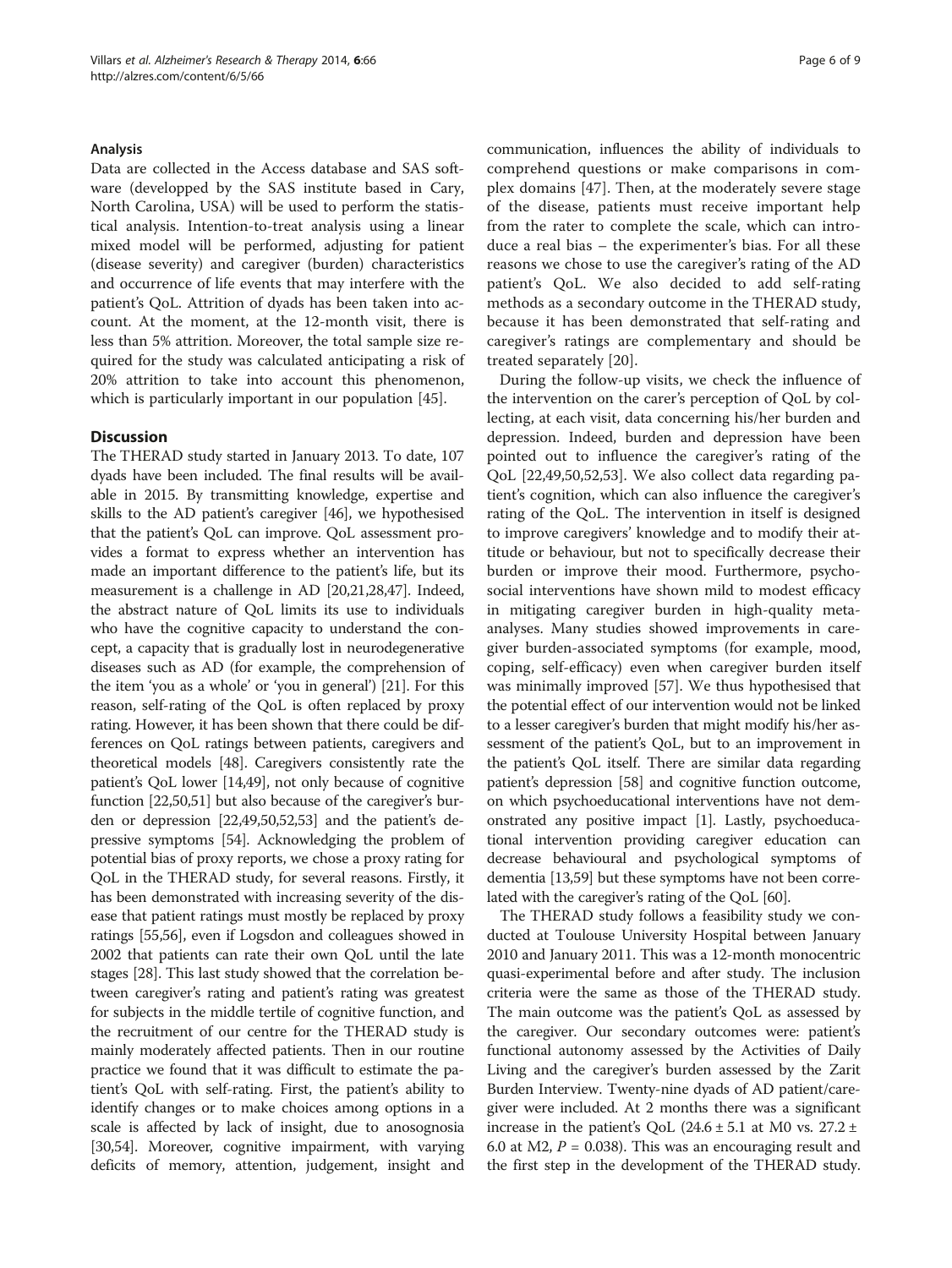#### Analysis

Data are collected in the Access database and SAS software (developped by the SAS institute based in Cary, North Carolina, USA) will be used to perform the statistical analysis. Intention-to-treat analysis using a linear mixed model will be performed, adjusting for patient (disease severity) and caregiver (burden) characteristics and occurrence of life events that may interfere with the patient's QoL. Attrition of dyads has been taken into account. At the moment, at the 12-month visit, there is less than 5% attrition. Moreover, the total sample size required for the study was calculated anticipating a risk of 20% attrition to take into account this phenomenon, which is particularly important in our population [[45](#page-7-0)].

#### **Discussion**

The THERAD study started in January 2013. To date, 107 dyads have been included. The final results will be available in 2015. By transmitting knowledge, expertise and skills to the AD patient's caregiver [\[46](#page-7-0)], we hypothesised that the patient's QoL can improve. QoL assessment provides a format to express whether an intervention has made an important difference to the patient's life, but its measurement is a challenge in AD [\[20,21,28,47](#page-7-0)]. Indeed, the abstract nature of QoL limits its use to individuals who have the cognitive capacity to understand the concept, a capacity that is gradually lost in neurodegenerative diseases such as AD (for example, the comprehension of the item 'you as a whole' or 'you in general') [[21](#page-7-0)]. For this reason, self-rating of the QoL is often replaced by proxy rating. However, it has been shown that there could be differences on QoL ratings between patients, caregivers and theoretical models [\[48\]](#page-7-0). Caregivers consistently rate the patient's QoL lower [\[14,49\]](#page-7-0), not only because of cognitive function [\[22,50,51](#page-7-0)] but also because of the caregiver's burden or depression [[22,49,50,52,53](#page-7-0)] and the patient's depressive symptoms [[54](#page-7-0)]. Acknowledging the problem of potential bias of proxy reports, we chose a proxy rating for QoL in the THERAD study, for several reasons. Firstly, it has been demonstrated with increasing severity of the disease that patient ratings must mostly be replaced by proxy ratings [\[55,56](#page-7-0)], even if Logsdon and colleagues showed in 2002 that patients can rate their own QoL until the late stages [\[28\]](#page-7-0). This last study showed that the correlation between caregiver's rating and patient's rating was greatest for subjects in the middle tertile of cognitive function, and the recruitment of our centre for the THERAD study is mainly moderately affected patients. Then in our routine practice we found that it was difficult to estimate the patient's QoL with self-rating. First, the patient's ability to identify changes or to make choices among options in a scale is affected by lack of insight, due to anosognosia [[30,54](#page-7-0)]. Moreover, cognitive impairment, with varying deficits of memory, attention, judgement, insight and

communication, influences the ability of individuals to comprehend questions or make comparisons in complex domains [[47\]](#page-7-0). Then, at the moderately severe stage of the disease, patients must receive important help from the rater to complete the scale, which can introduce a real bias – the experimenter's bias. For all these reasons we chose to use the caregiver's rating of the AD patient's QoL. We also decided to add self-rating methods as a secondary outcome in the THERAD study, because it has been demonstrated that self-rating and caregiver's ratings are complementary and should be treated separately [[20\]](#page-7-0).

During the follow-up visits, we check the influence of the intervention on the carer's perception of QoL by collecting, at each visit, data concerning his/her burden and depression. Indeed, burden and depression have been pointed out to influence the caregiver's rating of the QoL [[22](#page-7-0),[49,50,52,53](#page-7-0)]. We also collect data regarding patient's cognition, which can also influence the caregiver's rating of the QoL. The intervention in itself is designed to improve caregivers' knowledge and to modify their attitude or behaviour, but not to specifically decrease their burden or improve their mood. Furthermore, psychosocial interventions have shown mild to modest efficacy in mitigating caregiver burden in high-quality metaanalyses. Many studies showed improvements in caregiver burden-associated symptoms (for example, mood, coping, self-efficacy) even when caregiver burden itself was minimally improved [\[57](#page-8-0)]. We thus hypothesised that the potential effect of our intervention would not be linked to a lesser caregiver's burden that might modify his/her assessment of the patient's QoL, but to an improvement in the patient's QoL itself. There are similar data regarding patient's depression [\[58\]](#page-8-0) and cognitive function outcome, on which psychoeducational interventions have not demonstrated any positive impact [\[1](#page-6-0)]. Lastly, psychoeducational intervention providing caregiver education can decrease behavioural and psychological symptoms of dementia [\[13,](#page-7-0)[59](#page-8-0)] but these symptoms have not been correlated with the caregiver's rating of the QoL [\[60\]](#page-8-0).

The THERAD study follows a feasibility study we conducted at Toulouse University Hospital between January 2010 and January 2011. This was a 12-month monocentric quasi-experimental before and after study. The inclusion criteria were the same as those of the THERAD study. The main outcome was the patient's QoL as assessed by the caregiver. Our secondary outcomes were: patient's functional autonomy assessed by the Activities of Daily Living and the caregiver's burden assessed by the Zarit Burden Interview. Twenty-nine dyads of AD patient/caregiver were included. At 2 months there was a significant increase in the patient's QoL  $(24.6 \pm 5.1 \text{ at } M0 \text{ vs. } 27.2 \pm 1.0 \text{ s})$ 6.0 at M2,  $P = 0.038$ ). This was an encouraging result and the first step in the development of the THERAD study.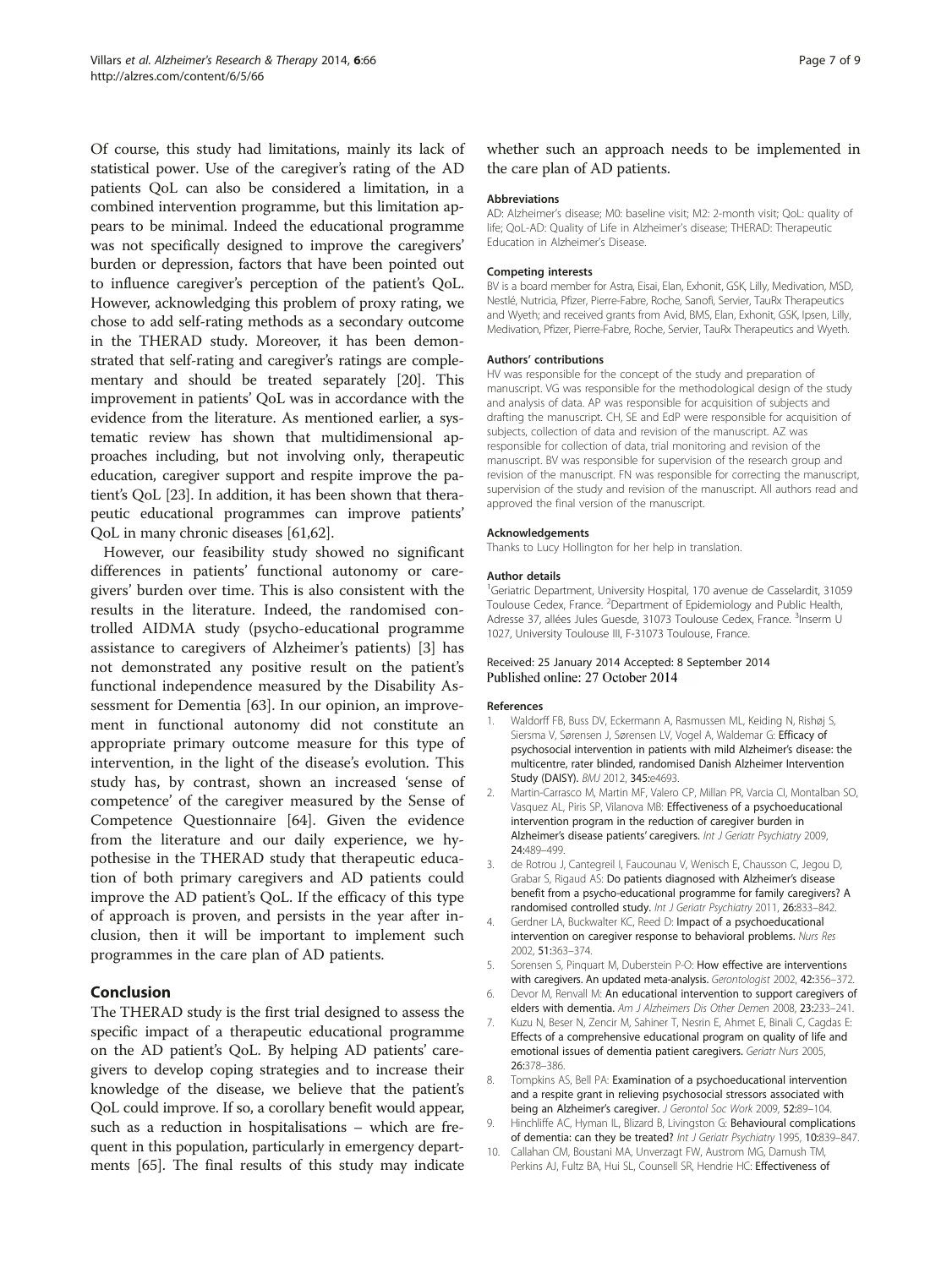<span id="page-6-0"></span>Of course, this study had limitations, mainly its lack of statistical power. Use of the caregiver's rating of the AD patients QoL can also be considered a limitation, in a combined intervention programme, but this limitation appears to be minimal. Indeed the educational programme was not specifically designed to improve the caregivers' burden or depression, factors that have been pointed out to influence caregiver's perception of the patient's QoL. However, acknowledging this problem of proxy rating, we chose to add self-rating methods as a secondary outcome in the THERAD study. Moreover, it has been demonstrated that self-rating and caregiver's ratings are complementary and should be treated separately [\[20\]](#page-7-0). This improvement in patients' QoL was in accordance with the evidence from the literature. As mentioned earlier, a systematic review has shown that multidimensional approaches including, but not involving only, therapeutic education, caregiver support and respite improve the patient's QoL [[23](#page-7-0)]. In addition, it has been shown that therapeutic educational programmes can improve patients' QoL in many chronic diseases [[61,62\]](#page-8-0).

However, our feasibility study showed no significant differences in patients' functional autonomy or caregivers' burden over time. This is also consistent with the results in the literature. Indeed, the randomised controlled AIDMA study (psycho-educational programme assistance to caregivers of Alzheimer's patients) [3] has not demonstrated any positive result on the patient's functional independence measured by the Disability Assessment for Dementia [\[63\]](#page-8-0). In our opinion, an improvement in functional autonomy did not constitute an appropriate primary outcome measure for this type of intervention, in the light of the disease's evolution. This study has, by contrast, shown an increased 'sense of competence' of the caregiver measured by the Sense of Competence Questionnaire [[64](#page-8-0)]. Given the evidence from the literature and our daily experience, we hypothesise in the THERAD study that therapeutic education of both primary caregivers and AD patients could improve the AD patient's QoL. If the efficacy of this type of approach is proven, and persists in the year after inclusion, then it will be important to implement such programmes in the care plan of AD patients.

# Conclusion

The THERAD study is the first trial designed to assess the specific impact of a therapeutic educational programme on the AD patient's QoL. By helping AD patients' caregivers to develop coping strategies and to increase their knowledge of the disease, we believe that the patient's QoL could improve. If so, a corollary benefit would appear, such as a reduction in hospitalisations – which are frequent in this population, particularly in emergency departments [[65](#page-8-0)]. The final results of this study may indicate whether such an approach needs to be implemented in the care plan of AD patients.

#### Abbreviations

AD: Alzheimer's disease; M0: baseline visit; M2: 2-month visit; QoL: quality of life; QoL-AD: Quality of Life in Alzheimer's disease; THERAD: Therapeutic Education in Alzheimer's Disease.

#### Competing interests

BV is a board member for Astra, Eisai, Elan, Exhonit, GSK, Lilly, Medivation, MSD, Nestlé, Nutricia, Pfizer, Pierre-Fabre, Roche, Sanofi, Servier, TauRx Therapeutics and Wyeth; and received grants from Avid, BMS, Elan, Exhonit, GSK, Ipsen, Lilly, Medivation, Pfizer, Pierre-Fabre, Roche, Servier, TauRx Therapeutics and Wyeth.

#### Authors' contributions

HV was responsible for the concept of the study and preparation of manuscript. VG was responsible for the methodological design of the study and analysis of data. AP was responsible for acquisition of subjects and drafting the manuscript. CH, SE and EdP were responsible for acquisition of subjects, collection of data and revision of the manuscript. AZ was responsible for collection of data, trial monitoring and revision of the manuscript. BV was responsible for supervision of the research group and revision of the manuscript. FN was responsible for correcting the manuscript, supervision of the study and revision of the manuscript. All authors read and approved the final version of the manuscript.

#### Acknowledgements

Thanks to Lucy Hollington for her help in translation.

#### Author details

<sup>1</sup>Geriatric Department, University Hospital, 170 avenue de Casselardit, 31059 Toulouse Cedex, France. <sup>2</sup>Department of Epidemiology and Public Health, Adresse 37, allées Jules Guesde, 31073 Toulouse Cedex, France. <sup>3</sup>Inserm U 1027, University Toulouse III, F-31073 Toulouse, France.

#### Received: 25 January 2014 Accepted: 8 September 2014 Published online: 27 October 2014

#### References

- 1. Waldorff FB, Buss DV, Eckermann A, Rasmussen ML, Keiding N, Rishøj S, Siersma V, Sørensen J, Sørensen LV, Vogel A, Waldemar G: Efficacy of psychosocial intervention in patients with mild Alzheimer's disease: the multicentre, rater blinded, randomised Danish Alzheimer Intervention Study (DAISY). BMJ 2012, 345:e4693.
- 2. Martin-Carrasco M, Martin MF, Valero CP, Millan PR, Varcia CI, Montalban SO, Vasquez AL, Piris SP, Vilanova MB: Effectiveness of a psychoeducational intervention program in the reduction of caregiver burden in Alzheimer's disease patients' caregivers. Int J Geriatr Psychiatry 2009, 24:489–499.
- 3. de Rotrou J, Cantegreil I, Faucounau V, Wenisch E, Chausson C, Jegou D, Grabar S, Rigaud AS: Do patients diagnosed with Alzheimer's disease benefit from a psycho-educational programme for family caregivers? A randomised controlled study. Int J Geriatr Psychiatry 2011, 26:833-842.
- 4. Gerdner LA, Buckwalter KC, Reed D: Impact of a psychoeducational intervention on caregiver response to behavioral problems. Nurs Res 2002, 51:363–374.
- 5. Sorensen S, Pinquart M, Duberstein P-O: How effective are interventions with caregivers. An updated meta-analysis. Gerontologist 2002, 42:356–372.
- 6. Devor M, Renvall M: An educational intervention to support caregivers of elders with dementia. Am J Alzheimers Dis Other Demen 2008, 23:233–241.
- 7. Kuzu N, Beser N, Zencir M, Sahiner T, Nesrin E, Ahmet E, Binali C, Cagdas E: Effects of a comprehensive educational program on quality of life and emotional issues of dementia patient caregivers. Geriatr Nurs 2005, 26:378–386.
- 8. Tompkins AS, Bell PA: Examination of a psychoeducational intervention and a respite grant in relieving psychosocial stressors associated with being an Alzheimer's caregiver. J Gerontol Soc Work 2009, 52:89–104.
- 9. Hinchliffe AC, Hyman IL, Blizard B, Livingston G: Behavioural complications of dementia: can they be treated? Int J Geriatr Psychiatry 1995, 10:839-847.
- 10. Callahan CM, Boustani MA, Unverzagt FW, Austrom MG, Damush TM, Perkins AJ, Fultz BA, Hui SL, Counsell SR, Hendrie HC: Effectiveness of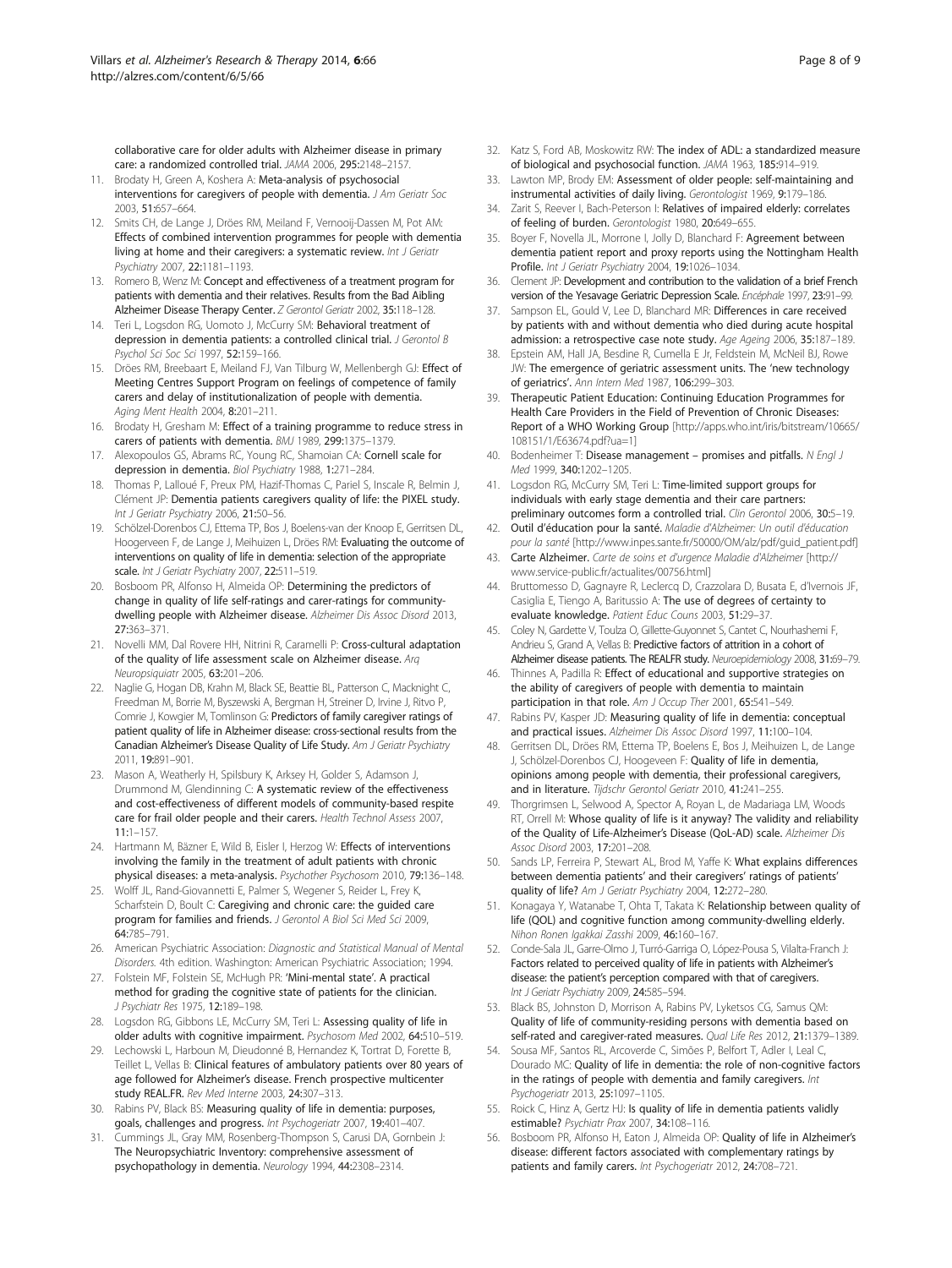<span id="page-7-0"></span>collaborative care for older adults with Alzheimer disease in primary care: a randomized controlled trial. JAMA 2006, 295:2148–2157.

- 11. Brodaty H, Green A, Koshera A: Meta-analysis of psychosocial interventions for caregivers of people with dementia. J Am Geriatr Soc 2003, 51:657–664.
- 12. Smits CH, de Lange J, Dröes RM, Meiland F, Vernooij-Dassen M, Pot AM: Effects of combined intervention programmes for people with dementia living at home and their caregivers: a systematic review. Int J Geriatr Psychiatry 2007, 22:1181–1193.
- 13. Romero B, Wenz M: Concept and effectiveness of a treatment program for patients with dementia and their relatives. Results from the Bad Aibling Alzheimer Disease Therapy Center. Z Gerontol Geriatr 2002, 35:118–128.
- 14. Teri L, Logsdon RG, Uomoto J, McCurry SM: Behavioral treatment of depression in dementia patients: a controlled clinical trial. J Gerontol B Psychol Sci Soc Sci 1997, 52:159–166.
- 15. Dröes RM, Breebaart E, Meiland FJ, Van Tilburg W, Mellenbergh GJ: Effect of Meeting Centres Support Program on feelings of competence of family carers and delay of institutionalization of people with dementia. Aging Ment Health 2004, 8:201–211.
- 16. Brodaty H, Gresham M: Effect of a training programme to reduce stress in carers of patients with dementia. BMJ 1989, 299:1375–1379.
- 17. Alexopoulos GS, Abrams RC, Young RC, Shamoian CA: Cornell scale for depression in dementia. Biol Psychiatry 1988, 1:271–284.
- 18. Thomas P, Lalloué F, Preux PM, Hazif-Thomas C, Pariel S, Inscale R, Belmin J, Clément JP: Dementia patients caregivers quality of life: the PIXEL study. Int J Geriatr Psychiatry 2006, 21:50–56.
- 19. Schölzel-Dorenbos CJ, Ettema TP, Bos J, Boelens-van der Knoop E, Gerritsen DL, Hoogerveen F, de Lange J, Meihuizen L, Dröes RM: Evaluating the outcome of interventions on quality of life in dementia: selection of the appropriate scale. Int J Geriatr Psychiatry 2007, 22:511-519.
- 20. Bosboom PR, Alfonso H, Almeida OP: Determining the predictors of change in quality of life self-ratings and carer-ratings for communitydwelling people with Alzheimer disease. Alzheimer Dis Assoc Disord 2013, 27:363–371.
- 21. Novelli MM, Dal Rovere HH, Nitrini R, Caramelli P: Cross-cultural adaptation of the quality of life assessment scale on Alzheimer disease. Arq Neuropsiquiatr 2005, 63:201–206.
- 22. Naglie G, Hogan DB, Krahn M, Black SE, Beattie BL, Patterson C, Macknight C, Freedman M, Borrie M, Byszewski A, Bergman H, Streiner D, Irvine J, Ritvo P, Comrie J, Kowgier M, Tomlinson G: Predictors of family caregiver ratings of patient quality of life in Alzheimer disease: cross-sectional results from the Canadian Alzheimer's Disease Quality of Life Study. Am J Geriatr Psychiatry 2011, 19:891–901.
- 23. Mason A, Weatherly H, Spilsbury K, Arksey H, Golder S, Adamson J, Drummond M, Glendinning C: A systematic review of the effectiveness and cost-effectiveness of different models of community-based respite care for frail older people and their carers. Health Technol Assess 2007, 11:1–157.
- 24. Hartmann M, Bäzner E, Wild B, Eisler I, Herzog W: Effects of interventions involving the family in the treatment of adult patients with chronic physical diseases: a meta-analysis. Psychother Psychosom 2010, 79:136–148.
- 25. Wolff JL, Rand-Giovannetti E, Palmer S, Wegener S, Reider L, Frey K, Scharfstein D, Boult C: Caregiving and chronic care: the guided care program for families and friends. J Gerontol A Biol Sci Med Sci 2009, 64:785–791.
- 26. American Psychiatric Association: Diagnostic and Statistical Manual of Mental Disorders. 4th edition. Washington: American Psychiatric Association; 1994.
- 27. Folstein MF, Folstein SE, McHugh PR: 'Mini-mental state'. A practical method for grading the cognitive state of patients for the clinician. J Psychiatr Res 1975, 12:189–198.
- 28. Logsdon RG, Gibbons LE, McCurry SM, Teri L: Assessing quality of life in older adults with cognitive impairment. Psychosom Med 2002, 64:510–519.
- 29. Lechowski L, Harboun M, Dieudonné B, Hernandez K, Tortrat D, Forette B, Teillet L, Vellas B: Clinical features of ambulatory patients over 80 years of age followed for Alzheimer's disease. French prospective multicenter study REAL.FR. Rev Med Interne 2003, 24:307–313.
- 30. Rabins PV, Black BS: Measuring quality of life in dementia: purposes, goals, challenges and progress. Int Psychogeriatr 2007, 19:401-407
- 31. Cummings JL, Gray MM, Rosenberg-Thompson S, Carusi DA, Gornbein J: The Neuropsychiatric Inventory: comprehensive assessment of psychopathology in dementia. Neurology 1994, 44:2308–2314.
- 32. Katz S, Ford AB, Moskowitz RW: The index of ADL: a standardized measure of biological and psychosocial function. JAMA 1963, 185:914–919.
- 33. Lawton MP, Brody EM: Assessment of older people: self-maintaining and instrumental activities of daily living. Gerontologist 1969, 9:179–186.
- 34. Zarit S, Reever I, Bach-Peterson I: Relatives of impaired elderly: correlates of feeling of burden. Gerontologist 1980, 20:649–655.
- 35. Boyer F, Novella JL, Morrone I, Jolly D, Blanchard F: Agreement between dementia patient report and proxy reports using the Nottingham Health Profile. Int J Geriatr Psychiatry 2004, 19:1026–1034.
- 36. Clement JP: Development and contribution to the validation of a brief French version of the Yesavage Geriatric Depression Scale. Encéphale 1997, 23:91-99.
- 37. Sampson EL, Gould V, Lee D, Blanchard MR: Differences in care received by patients with and without dementia who died during acute hospital admission: a retrospective case note study. Age Ageing 2006, 35:187–189.
- 38. Epstein AM, Hall JA, Besdine R, Cumella E Jr, Feldstein M, McNeil BJ, Rowe JW: The emergence of geriatric assessment units. The 'new technology of geriatrics'. Ann Intern Med 1987, 106:299–303.
- 39. Therapeutic Patient Education: Continuing Education Programmes for Health Care Providers in the Field of Prevention of Chronic Diseases: Report of a WHO Working Group [[http://apps.who.int/iris/bitstream/10665/](http://apps.who.int/iris/bitstream/10665/108151/1/E63674.pdf?ua=1) [108151/1/E63674.pdf?ua=1\]](http://apps.who.int/iris/bitstream/10665/108151/1/E63674.pdf?ua=1)
- 40. Bodenheimer T: Disease management promises and pitfalls. N Engl J Med 1999, 340:1202–1205.
- 41. Logsdon RG, McCurry SM, Teri L: Time-limited support groups for individuals with early stage dementia and their care partners: preliminary outcomes form a controlled trial. Clin Gerontol 2006, 30:5-19.
- 42. Outil d'éducation pour la santé. Maladie d'Alzheimer: Un outil d'éducation pour la santé [\[http://www.inpes.sante.fr/50000/OM/alz/pdf/guid\\_patient.pdf](http://www.inpes.sante.fr/50000/OM/alz/pdf/guid_patient.pdf)]
- 43. Carte Alzheimer. Carte de soins et d'urgence Maladie d'Alzheimer [\[http://](http://www.service-public.fr/actualites/00756.html) [www.service-public.fr/actualites/00756.html](http://www.service-public.fr/actualites/00756.html)]
- 44. Bruttomesso D, Gagnayre R, Leclercq D, Crazzolara D, Busata E, d'Ivernois JF, Casiglia E, Tiengo A, Baritussio A: The use of degrees of certainty to evaluate knowledge. Patient Educ Couns 2003, 51:29–37.
- 45. Coley N, Gardette V, Toulza O, Gillette-Guyonnet S, Cantet C, Nourhashemi F, Andrieu S, Grand A, Vellas B: Predictive factors of attrition in a cohort of Alzheimer disease patients. The REALFR study. Neuroepidemiology 2008, 31:69–79.
- 46. Thinnes A, Padilla R: Effect of educational and supportive strategies on the ability of caregivers of people with dementia to maintain participation in that role. Am J Occup Ther 2001, 65:541-549.
- 47. Rabins PV, Kasper JD: Measuring quality of life in dementia: conceptual and practical issues. Alzheimer Dis Assoc Disord 1997, 11:100–104.
- 48. Gerritsen DL, Dröes RM, Ettema TP, Boelens E, Bos J, Meihuizen L, de Lange J, Schölzel-Dorenbos CJ, Hoogeveen F: Quality of life in dementia, opinions among people with dementia, their professional caregivers, and in literature. Tijdschr Gerontol Geriatr 2010, 41:241-255.
- 49. Thorgrimsen L, Selwood A, Spector A, Royan L, de Madariaga LM, Woods RT, Orrell M: Whose quality of life is it anyway? The validity and reliability of the Quality of Life-Alzheimer's Disease (QoL-AD) scale. Alzheimer Dis Assoc Disord 2003, 17:201–208.
- 50. Sands LP, Ferreira P, Stewart AL, Brod M, Yaffe K: What explains differences between dementia patients' and their caregivers' ratings of patients' quality of life? Am J Geriatr Psychiatry 2004, 12:272–280.
- 51. Konagaya Y, Watanabe T, Ohta T, Takata K: Relationship between quality of life (QOL) and cognitive function among community-dwelling elderly. Nihon Ronen Igakkai Zasshi 2009, 46:160–167.
- 52. Conde-Sala JL, Garre-Olmo J, Turró-Garriga O, López-Pousa S, Vilalta-Franch J: Factors related to perceived quality of life in patients with Alzheimer's disease: the patient's perception compared with that of caregivers. Int J Geriatr Psychiatry 2009, 24:585-594.
- 53. Black BS, Johnston D, Morrison A, Rabins PV, Lyketsos CG, Samus QM: Quality of life of community-residing persons with dementia based on self-rated and caregiver-rated measures. Qual Life Res 2012, 21:1379-1389.
- 54. Sousa MF, Santos RL, Arcoverde C, Simões P, Belfort T, Adler I, Leal C, Dourado MC: Quality of life in dementia: the role of non-cognitive factors in the ratings of people with dementia and family caregivers. Int Psychogeriatr 2013, 25:1097–1105.
- 55. Roick C, Hinz A, Gertz HJ: Is quality of life in dementia patients validly estimable? Psychiatr Prax 2007, 34:108–116.
- 56. Bosboom PR, Alfonso H, Eaton J, Almeida OP: Quality of life in Alzheimer's disease: different factors associated with complementary ratings by patients and family carers. Int Psychogeriatr 2012, 24:708–721.